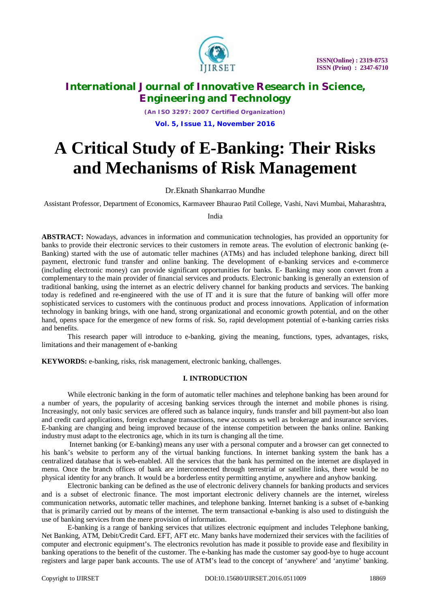

*(An ISO 3297: 2007 Certified Organization)* **Vol. 5, Issue 11, November 2016**

# **A Critical Study of E-Banking: Their Risks and Mechanisms of Risk Management**

Dr.Eknath Shankarrao Mundhe

Assistant Professor, Department of Economics, Karmaveer Bhaurao Patil College, Vashi, Navi Mumbai, Maharashtra,

India

**ABSTRACT:** Nowadays, advances in information and communication technologies, has provided an opportunity for banks to provide their electronic services to their customers in remote areas. The evolution of electronic banking (e-Banking) started with the use of automatic teller machines (ATMs) and has included telephone banking, direct bill payment, electronic fund transfer and online banking. The development of e-banking services and e-commerce (including electronic money) can provide significant opportunities for banks. E- Banking may soon convert from a complementary to the main provider of financial services and products. Electronic banking is generally an extension of traditional banking, using the internet as an electric delivery channel for banking products and services. The banking today is redefined and re-engineered with the use of IT and it is sure that the future of banking will offer more sophisticated services to customers with the continuous product and process innovations. Application of information technology in banking brings, with one hand, strong organizational and economic growth potential, and on the other hand, opens space for the emergence of new forms of risk. So, rapid development potential of e-banking carries risks and benefits.

This research paper will introduce to e-banking, giving the meaning, functions, types, advantages, risks, limitations and their management of e-banking

**KEYWORDS:** e-banking, risks, risk management, electronic banking, challenges.

## **I. INTRODUCTION**

While electronic banking in the form of automatic teller machines and telephone banking has been around for a number of years, the popularity of accesing banking services through the internet and mobile phones is rising. Increasingly, not only basic services are offered such as balance inquiry, funds transfer and bill payment-but also loan and credit card applications, foreign exchange transactions, new accounts as well as brokerage and insurance services. E-banking are changing and being improved because of the intense competition between the banks online. Banking industry must adapt to the electronics age, which in its turn is changing all the time.

Internet banking (or E-banking) means any user with a personal computer and a browser can get connected to his bank's website to perform any of the virtual banking functions. In internet banking system the bank has a centralized database that is web-enabled. All the services that the bank has permitted on the internet are displayed in menu. Once the branch offices of bank are interconnected through terrestrial or satellite links, there would be no physical identity for any branch. It would be a borderless entity permitting anytime, anywhere and anyhow banking.

Electronic banking can be defined as the use of electronic delivery channels for banking products and services and is a subset of electronic finance. The most important electronic delivery channels are the internet, wireless communication networks, automatic teller machines, and telephone banking. Internet banking is a subset of e-banking that is primarily carried out by means of the internet. The term transactional e-banking is also used to distinguish the use of banking services from the mere provision of information.

E-banking is a range of banking services that utilizes electronic equipment and includes Telephone banking, Net Banking, ATM, Debit/Credit Card. EFT, AFT etc. Many banks have modernized their services with the facilities of computer and electronic equipment's. The electronics revolution has made it possible to provide ease and flexibility in banking operations to the benefit of the customer. The e-banking has made the customer say good-bye to huge account registers and large paper bank accounts. The use of ATM's lead to the concept of 'anywhere' and 'anytime' banking.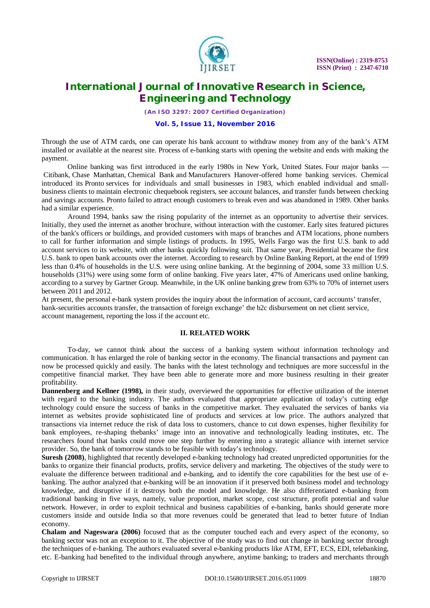

*(An ISO 3297: 2007 Certified Organization)*

#### **Vol. 5, Issue 11, November 2016**

Through the use of ATM cards, one can operate his bank account to withdraw money from any of the bank's ATM installed or available at the nearest site. Process of e-banking starts with opening the website and ends with making the payment.

Online banking was first introduced in the early 1980s in New York, United States. Four major banks — Citibank, Chase Manhattan, Chemical Bank and Manufacturers Hanover-offered home banking services. Chemical introduced its Pronto services for individuals and small businesses in 1983, which enabled individual and smallbusiness clients to maintain electronic chequebook registers, see account balances, and transfer funds between checking and savings accounts. Pronto failed to attract enough customers to break even and was abandoned in 1989. Other banks had a similar experience.

Around 1994, banks saw the rising popularity of the internet as an opportunity to advertise their services. Initially, they used the internet as another brochure, without interaction with the customer. Early sites featured pictures of the bank's officers or buildings, and provided customers with maps of branches and ATM locations, phone numbers to call for further information and simple listings of products. In 1995, Wells Fargo was the first U.S. bank to add account services to its website, with other banks quickly following suit. That same year, Presidential became the first U.S. bank to open bank accounts over the internet. According to research by Online Banking Report, at the end of 1999 less than 0.4% of households in the U.S. were using online banking. At the beginning of 2004, some 33 million U.S. households (31%) were using some form of online banking. Five years later, 47% of Americans used online banking, according to a survey by Gartner Group. Meanwhile, in the UK online banking grew from 63% to 70% of internet users between 2011 and 2012.

At present, the personal e-bank system provides the inquiry about the information of account, card accounts' transfer, bank-securities accounts transfer, the transaction of foreign exchange' the b2c disbursement on net client service, account management, reporting the loss if the account etc.

#### **II. RELATED WORK**

To-day, we cannot think about the success of a banking system without information technology and communication. It has enlarged the role of banking sector in the economy. The financial transactions and payment can now be processed quickly and easily. The banks with the latest technology and techniques are more successful in the competitive financial market. They have been able to generate more and more business resulting in their greater profitability.

**Dannenberg and Kellner (1998),** in their study, overviewed the opportunities for effective utilization of the internet with regard to the banking industry. The authors evaluated that appropriate application of today's cutting edge technology could ensure the success of banks in the competitive market. They evaluated the services of banks via internet as websites provide sophisticated line of products and services at low price. The authors analyzed that transactions via internet reduce the risk of data loss to customers, chance to cut down expenses, higher flexibility for bank employees, re-shaping thebanks' image into an innovative and technologically leading institutes, etc. The researchers found that banks could move one step further by entering into a strategic alliance with internet service provider. So, the bank of tomorrow stands to be feasible with today's technology.

**Suresh (2008)**, highlighted that recently developed e-banking technology had created unpredicted opportunities for the banks to organize their financial products, profits, service delivery and marketing. The objectives of the study were to evaluate the difference between traditional and e-banking, and to identify the core capabilities for the best use of ebanking. The author analyzed that e-banking will be an innovation if it preserved both business model and technology knowledge, and disruptive if it destroys both the model and knowledge. He also differentiated e-banking from traditional banking in five ways, namely, value proportion, market scope, cost structure, profit potential and value network. However, in order to exploit technical and business capabilities of e-banking, banks should generate more customers inside and outside India so that more revenues could be generated that lead to better future of Indian economy.

**Chalam and Nageswara (2006)** focused that as the computer touched each and every aspect of the economy, so banking sector was not an exception to it. The objective of the study was to find out change in banking sector through the techniques of e-banking. The authors evaluated several e-banking products like ATM, EFT, ECS, EDI, telebanking, etc. E-banking had benefited to the individual through anywhere, anytime banking; to traders and merchants through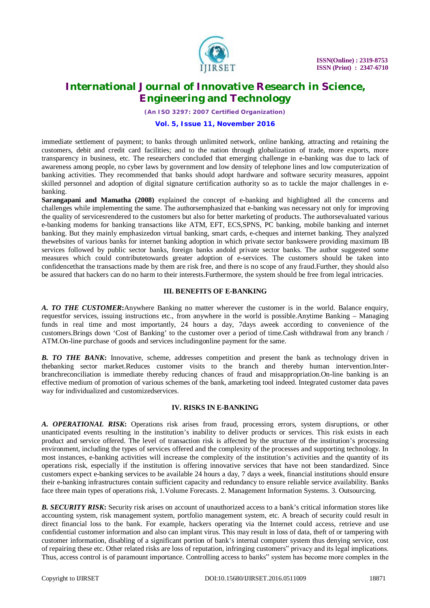

*(An ISO 3297: 2007 Certified Organization)*

### **Vol. 5, Issue 11, November 2016**

immediate settlement of payment; to banks through unlimited network, online banking, attracting and retaining the customers, debit and credit card facilities; and to the nation through globalization of trade, more exports, more transparency in business, etc. The researchers concluded that emerging challenge in e-banking was due to lack of awareness among people, no cyber laws by government and low density of telephone lines and low computerization of banking activities. They recommended that banks should adopt hardware and software security measures, appoint skilled personnel and adoption of digital signature certification authority so as to tackle the major challenges in ebanking.

**Sarangapani and Mamatha (2008)** explained the concept of e-banking and highlighted all the concerns and challenges while implementing the same. The authorsemphasized that e-banking was necessary not only for improving the quality of servicesrendered to the customers but also for better marketing of products. The authorsevaluated various e-banking modems for banking transactions like ATM, EFT, ECS,SPNS, PC banking, mobile banking and internet banking. But they mainly emphasizedon virtual banking, smart cards, e-cheques and internet banking. They analyzed thewebsites of various banks for internet banking adoption in which private sector bankswere providing maximum IB services followed by public sector banks, foreign banks andold private sector banks. The author suggested some measures which could contributetowards greater adoption of e-services. The customers should be taken into confidencethat the transactions made by them are risk free, and there is no scope of any fraud.Further, they should also be assured that hackers can do no harm to their interests.Furthermore, the system should be free from legal intricacies.

## **III. BENEFITS OF E-BANKING**

*A. TO THE CUSTOMER***:**Anywhere Banking no matter wherever the customer is in the world. Balance enquiry, requestfor services, issuing instructions etc., from anywhere in the world is possible.Anytime Banking – Managing funds in real time and most importantly, 24 hours a day, 7days aweek according to convenience of the customers.Brings down 'Cost of Banking' to the customer over a period of time.Cash withdrawal from any branch / ATM.On-line purchase of goods and services includingonline payment for the same.

**B.** TO THE BANK: Innovative, scheme, addresses competition and present the bank as technology driven in thebanking sector market.Reduces customer visits to the branch and thereby human intervention.Interbranchreconciliation is immediate thereby reducing chances of fraud and misappropriation.On-line banking is an effective medium of promotion of various schemes of the bank, amarketing tool indeed. Integrated customer data paves way for individualized and customizedservices.

## **IV. RISKS IN E-BANKING**

A. **OPERATIONAL RISK:** Operations risk arises from fraud, processing errors, system disruptions, or other unanticipated events resulting in the institution's inability to deliver products or services. This risk exists in each product and service offered. The level of transaction risk is affected by the structure of the institution's processing environment, including the types of services offered and the complexity of the processes and supporting technology. In most instances, e-banking activities will increase the complexity of the institution's activities and the quantity of its operations risk, especially if the institution is offering innovative services that have not been standardized. Since customers expect e-banking services to be available 24 hours a day, 7 days a week, financial institutions should ensure their e-banking infrastructures contain sufficient capacity and redundancy to ensure reliable service availability. Banks face three main types of operations risk, 1.Volume Forecasts. 2. Management Information Systems. 3. Outsourcing.

**B. SECURITY RISK:** Security risk arises on account of unauthorized access to a bank's critical information stores like accounting system, risk management system, portfolio management system, etc. A breach of security could result in direct financial loss to the bank. For example, hackers operating via the Internet could access, retrieve and use confidential customer information and also can implant virus. This may result in loss of data, theft of or tampering with customer information, disabling of a significant portion of bank's internal computer system thus denying service, cost of repairing these etc. Other related risks are loss of reputation, infringing customers" privacy and its legal implications. Thus, access control is of paramount importance. Controlling access to banks" system has become more complex in the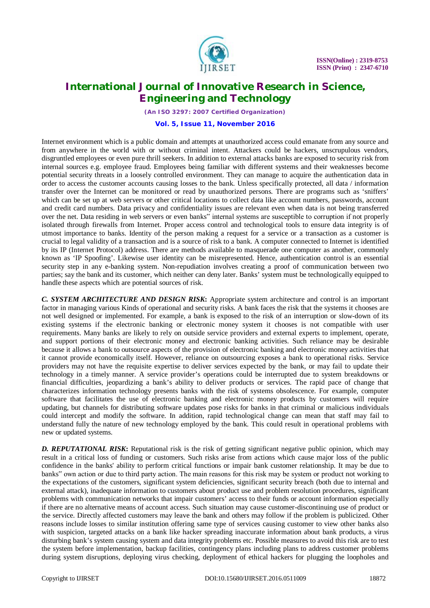

*(An ISO 3297: 2007 Certified Organization)* **Vol. 5, Issue 11, November 2016**

Internet environment which is a public domain and attempts at unauthorized access could emanate from any source and from anywhere in the world with or without criminal intent. Attackers could be hackers, unscrupulous vendors, disgruntled employees or even pure thrill seekers. In addition to external attacks banks are exposed to security risk from internal sources e.g. employee fraud. Employees being familiar with different systems and their weaknesses become potential security threats in a loosely controlled environment. They can manage to acquire the authentication data in order to access the customer accounts causing losses to the bank. Unless specifically protected, all data / information transfer over the Internet can be monitored or read by unauthorized persons. There are programs such as 'sniffers' which can be set up at web servers or other critical locations to collect data like account numbers, passwords, account and credit card numbers. Data privacy and confidentiality issues are relevant even when data is not being transferred over the net. Data residing in web servers or even banks" internal systems are susceptible to corruption if not properly isolated through firewalls from Internet. Proper access control and technological tools to ensure data integrity is of utmost importance to banks. Identity of the person making a request for a service or a transaction as a customer is crucial to legal validity of a transaction and is a source of risk to a bank. A computer connected to Internet is identified by its IP (Internet Protocol) address. There are methods available to masquerade one computer as another, commonly known as 'IP Spoofing'. Likewise user identity can be misrepresented. Hence, authentication control is an essential security step in any e-banking system. Non-repudiation involves creating a proof of communication between two parties; say the bank and its customer, which neither can deny later. Banks' system must be technologically equipped to handle these aspects which are potential sources of risk.

*C. SYSTEM ARCHITECTURE AND DESIGN RISK***:** Appropriate system architecture and control is an important factor in managing various Kinds of operational and security risks. A bank faces the risk that the systems it chooses are not well designed or implemented. For example, a bank is exposed to the risk of an interruption or slow-down of its existing systems if the electronic banking or electronic money system it chooses is not compatible with user requirements. Many banks are likely to rely on outside service providers and external experts to implement, operate, and support portions of their electronic money and electronic banking activities. Such reliance may be desirable because it allows a bank to outsource aspects of the provision of electronic banking and electronic money activities that it cannot provide economically itself. However, reliance on outsourcing exposes a bank to operational risks. Service providers may not have the requisite expertise to deliver services expected by the bank, or may fail to update their technology in a timely manner. A service provider's operations could be interrupted due to system breakdowns or financial difficulties, jeopardizing a bank's ability to deliver products or services. The rapid pace of change that characterizes information technology presents banks with the risk of systems obsolescence. For example, computer software that facilitates the use of electronic banking and electronic money products by customers will require updating, but channels for distributing software updates pose risks for banks in that criminal or malicious individuals could intercept and modify the software. In addition, rapid technological change can mean that staff may fail to understand fully the nature of new technology employed by the bank. This could result in operational problems with new or updated systems.

**D. REPUTATIONAL RISK:** Reputational risk is the risk of getting significant negative public opinion, which may result in a critical loss of funding or customers. Such risks arise from actions which cause major loss of the public confidence in the banks' ability to perform critical functions or impair bank customer relationship. It may be due to banks" own action or due to third party action. The main reasons for this risk may be system or product not working to the expectations of the customers, significant system deficiencies, significant security breach (both due to internal and external attack), inadequate information to customers about product use and problem resolution procedures, significant problems with communication networks that impair customers' access to their funds or account information especially if there are no alternative means of account access. Such situation may cause customer-discontinuing use of product or the service. Directly affected customers may leave the bank and others may follow if the problem is publicized. Other reasons include losses to similar institution offering same type of services causing customer to view other banks also with suspicion, targeted attacks on a bank like hacker spreading inaccurate information about bank products, a virus disturbing bank's system causing system and data integrity problems etc. Possible measures to avoid this risk are to test the system before implementation, backup facilities, contingency plans including plans to address customer problems during system disruptions, deploying virus checking, deployment of ethical hackers for plugging the loopholes and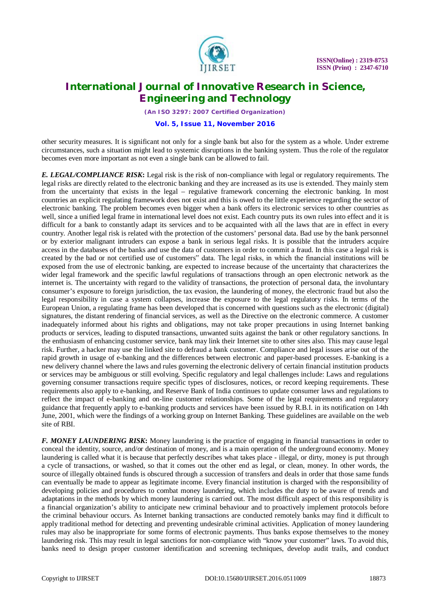

*(An ISO 3297: 2007 Certified Organization)*

**Vol. 5, Issue 11, November 2016**

other security measures. It is significant not only for a single bank but also for the system as a whole. Under extreme circumstances, such a situation might lead to systemic disruptions in the banking system. Thus the role of the regulator becomes even more important as not even a single bank can be allowed to fail.

*E. LEGAL/COMPLIANCE RISK***:** Legal risk is the risk of non-compliance with legal or regulatory requirements. The legal risks are directly related to the electronic banking and they are increased as its use is extended. They mainly stem from the uncertainty that exists in the legal – regulative framework concerning the electronic banking. In most countries an explicit regulating framework does not exist and this is owed to the little experience regarding the sector of electronic banking. The problem becomes even bigger when a bank offers its electronic services to other countries as well, since a unified legal frame in international level does not exist. Each country puts its own rules into effect and it is difficult for a bank to constantly adapt its services and to be acquainted with all the laws that are in effect in every country. Another legal risk is related with the protection of the customers' personal data. Bad use by the bank personnel or by exterior malignant intruders can expose a bank in serious legal risks. It is possible that the intruders acquire access in the databases of the banks and use the data of customers in order to commit a fraud. In this case a legal risk is created by the bad or not certified use of customers" data. The legal risks, in which the financial institutions will be exposed from the use of electronic banking, are expected to increase because of the uncertainty that characterizes the wider legal framework and the specific lawful regulations of transactions through an open electronic network as the internet is. The uncertainty with regard to the validity of transactions, the protection of personal data, the involuntary consumer's exposure to foreign jurisdiction, the tax evasion, the laundering of money, the electronic fraud but also the legal responsibility in case a system collapses, increase the exposure to the legal regulatory risks. In terms of the European Union, a regulating frame has been developed that is concerned with questions such as the electronic (digital) signatures, the distant rendering of financial services, as well as the Directive on the electronic commerce. A customer inadequately informed about his rights and obligations, may not take proper precautions in using Internet banking products or services, leading to disputed transactions, unwanted suits against the bank or other regulatory sanctions. In the enthusiasm of enhancing customer service, bank may link their Internet site to other sites also. This may cause legal risk. Further, a hacker may use the linked site to defraud a bank customer. Compliance and legal issues arise out of the rapid growth in usage of e-banking and the differences between electronic and paper-based processes. E-banking is a new delivery channel where the laws and rules governing the electronic delivery of certain financial institution products or services may be ambiguous or still evolving. Specific regulatory and legal challenges include: Laws and regulations governing consumer transactions require specific types of disclosures, notices, or record keeping requirements. These requirements also apply to e-banking, and Reserve Bank of India continues to update consumer laws and regulations to reflect the impact of e-banking and on-line customer relationships. Some of the legal requirements and regulatory guidance that frequently apply to e-banking products and services have been issued by R.B.I. in its notification on 14th June, 2001, which were the findings of a working group on Internet Banking. These guidelines are available on the web site of RBI.

*F. MONEY LAUNDERING RISK***:** Money laundering is the practice of engaging in financial transactions in order to conceal the identity, source, and/or destination of money, and is a main operation of the underground economy. Money laundering is called what it is because that perfectly describes what takes place - illegal, or dirty, money is put through a cycle of transactions, or washed, so that it comes out the other end as legal, or clean, money. In other words, the source of illegally obtained funds is obscured through a succession of transfers and deals in order that those same funds can eventually be made to appear as legitimate income. Every financial institution is charged with the responsibility of developing policies and procedures to combat money laundering, which includes the duty to be aware of trends and adaptations in the methods by which money laundering is carried out. The most difficult aspect of this responsibility is a financial organization's ability to anticipate new criminal behaviour and to proactively implement protocols before the criminal behaviour occurs. As Internet banking transactions are conducted remotely banks may find it difficult to apply traditional method for detecting and preventing undesirable criminal activities. Application of money laundering rules may also be inappropriate for some forms of electronic payments. Thus banks expose themselves to the money laundering risk. This may result in legal sanctions for non-compliance with "know your customer" laws. To avoid this, banks need to design proper customer identification and screening techniques, develop audit trails, and conduct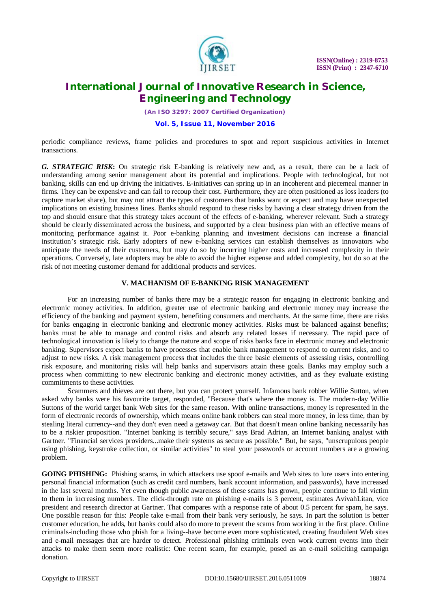

*(An ISO 3297: 2007 Certified Organization)*

**Vol. 5, Issue 11, November 2016**

periodic compliance reviews, frame policies and procedures to spot and report suspicious activities in Internet transactions.

*G. STRATEGIC RISK***:** On strategic risk E-banking is relatively new and, as a result, there can be a lack of understanding among senior management about its potential and implications. People with technological, but not banking, skills can end up driving the initiatives. E-initiatives can spring up in an incoherent and piecemeal manner in firms. They can be expensive and can fail to recoup their cost. Furthermore, they are often positioned as loss leaders (to capture market share), but may not attract the types of customers that banks want or expect and may have unexpected implications on existing business lines. Banks should respond to these risks by having a clear strategy driven from the top and should ensure that this strategy takes account of the effects of e-banking, wherever relevant. Such a strategy should be clearly disseminated across the business, and supported by a clear business plan with an effective means of monitoring performance against it. Poor e-banking planning and investment decisions can increase a financial institution's strategic risk. Early adopters of new e-banking services can establish themselves as innovators who anticipate the needs of their customers, but may do so by incurring higher costs and increased complexity in their operations. Conversely, late adopters may be able to avoid the higher expense and added complexity, but do so at the risk of not meeting customer demand for additional products and services.

## **V. MACHANISM OF E-BANKING RISK MANAGEMENT**

For an increasing number of banks there may be a strategic reason for engaging in electronic banking and electronic money activities. In addition, greater use of electronic banking and electronic money may increase the efficiency of the banking and payment system, benefiting consumers and merchants. At the same time, there are risks for banks engaging in electronic banking and electronic money activities. Risks must be balanced against benefits; banks must be able to manage and control risks and absorb any related losses if necessary. The rapid pace of technological innovation is likely to change the nature and scope of risks banks face in electronic money and electronic banking. Supervisors expect banks to have processes that enable bank management to respond to current risks, and to adjust to new risks. A risk management process that includes the three basic elements of assessing risks, controlling risk exposure, and monitoring risks will help banks and supervisors attain these goals. Banks may employ such a process when committing to new electronic banking and electronic money activities, and as they evaluate existing commitments to these activities.

Scammers and thieves are out there, but you can protect yourself. Infamous bank robber Willie Sutton, when asked why banks were his favourite target, responded, "Because that's where the money is. The modern-day Willie Suttons of the world target bank Web sites for the same reason. With online transactions, money is represented in the form of electronic records of ownership, which means online bank robbers can steal more money, in less time, than by stealing literal currency--and they don't even need a getaway car. But that doesn't mean online banking necessarily has to be a riskier proposition. "Internet banking is terribly secure," says Brad Adrian, an Internet banking analyst with Gartner. "Financial services providers...make their systems as secure as possible." But, he says, "unscrupulous people using phishing, keystroke collection, or similar activities" to steal your passwords or account numbers are a growing problem.

**GOING PHISHING:** Phishing scams, in which attackers use spoof e-mails and Web sites to lure users into entering personal financial information (such as credit card numbers, bank account information, and passwords), have increased in the last several months. Yet even though public awareness of these scams has grown, people continue to fall victim to them in increasing numbers. The click-through rate on phishing e-mails is 3 percent, estimates AvivahLitan, vice president and research director at Gartner. That compares with a response rate of about 0.5 percent for spam, he says. One possible reason for this: People take e-mail from their bank very seriously, he says. In part the solution is better customer education, he adds, but banks could also do more to prevent the scams from working in the first place. Online criminals-including those who phish for a living--have become even more sophisticated, creating fraudulent Web sites and e-mail messages that are harder to detect. Professional phishing criminals even work current events into their attacks to make them seem more realistic: One recent scam, for example, posed as an e-mail soliciting campaign donation.